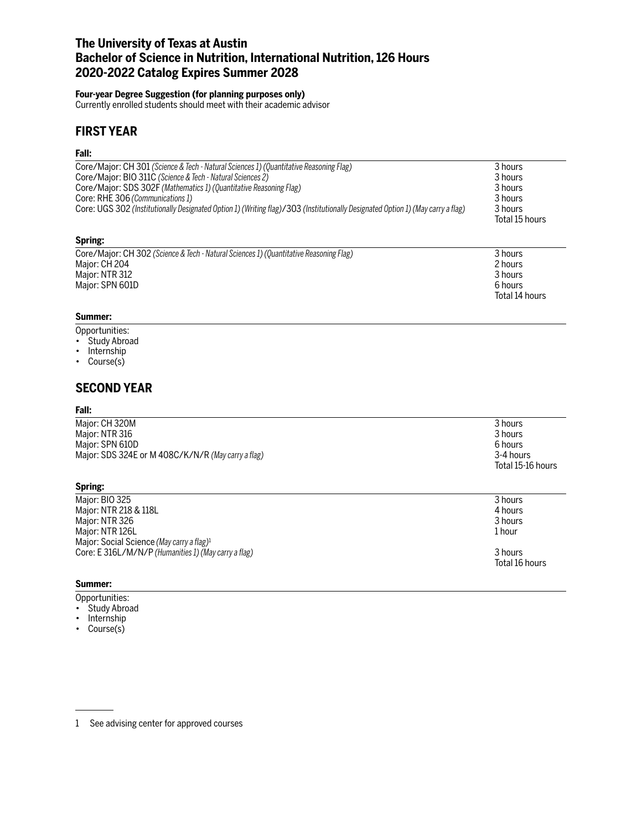# **The University of Texas at Austin Bachelor of Science in Nutrition, International Nutrition, 126 Hours 2020-2022 Catalog Expires Summer 2028**

### **Four-year Degree Suggestion (for planning purposes only)**

Currently enrolled students should meet with their academic advisor

## **FIRST YEAR**

### **Fall:**

| Core/Major: CH 301 (Science & Tech - Natural Sciences 1) (Quantitative Reasoning Flag)                                          | 3 hours        |
|---------------------------------------------------------------------------------------------------------------------------------|----------------|
| Core/Major: BIO 311C (Science & Tech - Natural Sciences 2)                                                                      | 3 hours        |
| Core/Major: SDS 302F (Mathematics 1) (Quantitative Reasoning Flag)                                                              | 3 hours        |
| Core: RHE 306 (Communications 1)                                                                                                | 3 hours        |
| Core: UGS 302 (Institutionally Designated Option 1) (Writing flag)/303 (Institutionally Designated Option 1) (May carry a flag) | 3 hours        |
|                                                                                                                                 | Total 15 hours |

### **Spring:**

| Core/Major: CH 302 (Science & Tech - Natural Sciences 1) (Quantitative Reasoning Flag) | 3 hours        |
|----------------------------------------------------------------------------------------|----------------|
| Major: CH 204                                                                          | 2 hours        |
| Major: NTR 312                                                                         | 3 hours        |
| Major: SPN 601D                                                                        | 6 hours        |
|                                                                                        | Total 14 hours |

### **Summer:**

- Opportunities:
- Study Abroad
- Internship
- Course(s)

## **SECOND YEAR**

#### **Fall:**

| Major: CH 320M                                     | 3 hours                        |
|----------------------------------------------------|--------------------------------|
| Major: NTR 316                                     | 3 hours                        |
| Maior: SPN 610D                                    | 6 hours                        |
| Major: SDS 324E or M 408C/K/N/R (May carry a flag) | 3-4 hours<br>Total 15-16 hours |

#### **Spring:**

| Major: BIO 325                                        | 3 hours        |
|-------------------------------------------------------|----------------|
| Major: NTR 218 & 118L                                 | 4 hours        |
| Major: NTR 326                                        | 3 hours        |
| Major: NTR 126L                                       | 1 hour         |
| Major: Social Science (May carry a flag) <sup>1</sup> |                |
| Core: E 316L/M/N/P (Humanities 1) (May carry a flag)  | 3 hours        |
|                                                       | Total 16 hours |
|                                                       |                |

#### **Summer:**

Opportunities:

- Study Abroad
- Internship
- Course(s)

<sup>1</sup> See advising center for approved courses